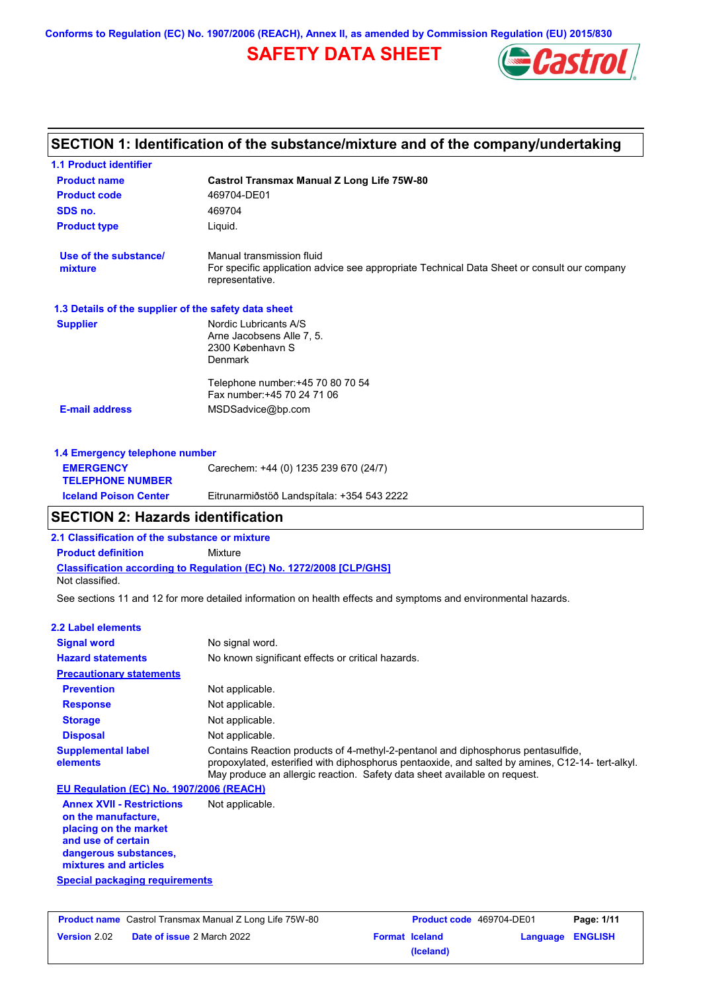**Conforms to Regulation (EC) No. 1907/2006 (REACH), Annex II, as amended by Commission Regulation (EU) 2015/830**

# **SAFETY DATA SHEET**



# **SECTION 1: Identification of the substance/mixture and of the company/undertaking**

| <b>1.1 Product identifier</b>                        |                                                                                                                                             |
|------------------------------------------------------|---------------------------------------------------------------------------------------------------------------------------------------------|
| <b>Product name</b>                                  | <b>Castrol Transmax Manual Z Long Life 75W-80</b>                                                                                           |
| <b>Product code</b>                                  | 469704-DE01                                                                                                                                 |
| SDS no.                                              | 469704                                                                                                                                      |
| <b>Product type</b>                                  | Liquid.                                                                                                                                     |
| Use of the substance/<br>mixture                     | Manual transmission fluid<br>For specific application advice see appropriate Technical Data Sheet or consult our company<br>representative. |
| 1.3 Details of the supplier of the safety data sheet |                                                                                                                                             |
| <b>Supplier</b>                                      | Nordic Lubricants A/S<br>Arne Jacobsens Alle 7, 5.<br>2300 København S<br>Denmark                                                           |
|                                                      | Telephone number: +45 70 80 70 54<br>Fax number: +45 70 24 71 06                                                                            |
| <b>E-mail address</b>                                | MSDSadvice@bp.com                                                                                                                           |
| 1.4 Emergency telephone number                       |                                                                                                                                             |
| <b>EMERGENCY</b><br><b>TELEPHONE NUMBER</b>          | Carechem: +44 (0) 1235 239 670 (24/7)                                                                                                       |
| <b>Iceland Poison Center</b>                         | Eitrunarmiðstöð Landspítala: +354 543 2222                                                                                                  |

# **SECTION 2: Hazards identification**

**2.1 Classification of the substance or mixture**

**Classification according to Regulation (EC) No. 1272/2008 [CLP/GHS] Product definition** Mixture

Not classified.

See sections 11 and 12 for more detailed information on health effects and symptoms and environmental hazards.

### **2.2 Label elements**

| <b>Signal word</b><br><b>Hazard statements</b>                                                                                                           | No signal word.<br>No known significant effects or critical hazards.                                                                                                                                                                                              |
|----------------------------------------------------------------------------------------------------------------------------------------------------------|-------------------------------------------------------------------------------------------------------------------------------------------------------------------------------------------------------------------------------------------------------------------|
| <b>Precautionary statements</b>                                                                                                                          |                                                                                                                                                                                                                                                                   |
| <b>Prevention</b>                                                                                                                                        | Not applicable.                                                                                                                                                                                                                                                   |
| <b>Response</b>                                                                                                                                          | Not applicable.                                                                                                                                                                                                                                                   |
| <b>Storage</b>                                                                                                                                           | Not applicable.                                                                                                                                                                                                                                                   |
| <b>Disposal</b>                                                                                                                                          | Not applicable.                                                                                                                                                                                                                                                   |
| <b>Supplemental label</b><br>elements                                                                                                                    | Contains Reaction products of 4-methyl-2-pentanol and diphosphorus pentasulfide,<br>propoxylated, esterified with diphosphorus pentaoxide, and salted by amines, C12-14- tert-alkyl.<br>May produce an allergic reaction. Safety data sheet available on request. |
| EU Regulation (EC) No. 1907/2006 (REACH)                                                                                                                 |                                                                                                                                                                                                                                                                   |
| <b>Annex XVII - Restrictions</b><br>on the manufacture,<br>placing on the market<br>and use of certain<br>dangerous substances,<br>mixtures and articles | Not applicable.                                                                                                                                                                                                                                                   |

**Special packaging requirements**

|                     | <b>Product name</b> Castrol Transmax Manual Z Long Life 75W-80 | <b>Product code</b> 469704-DE01 |                  | Page: 1/11 |
|---------------------|----------------------------------------------------------------|---------------------------------|------------------|------------|
| <b>Version</b> 2.02 | <b>Date of issue 2 March 2022</b>                              | <b>Format Iceland</b>           | Language ENGLISH |            |
|                     |                                                                | (Iceland)                       |                  |            |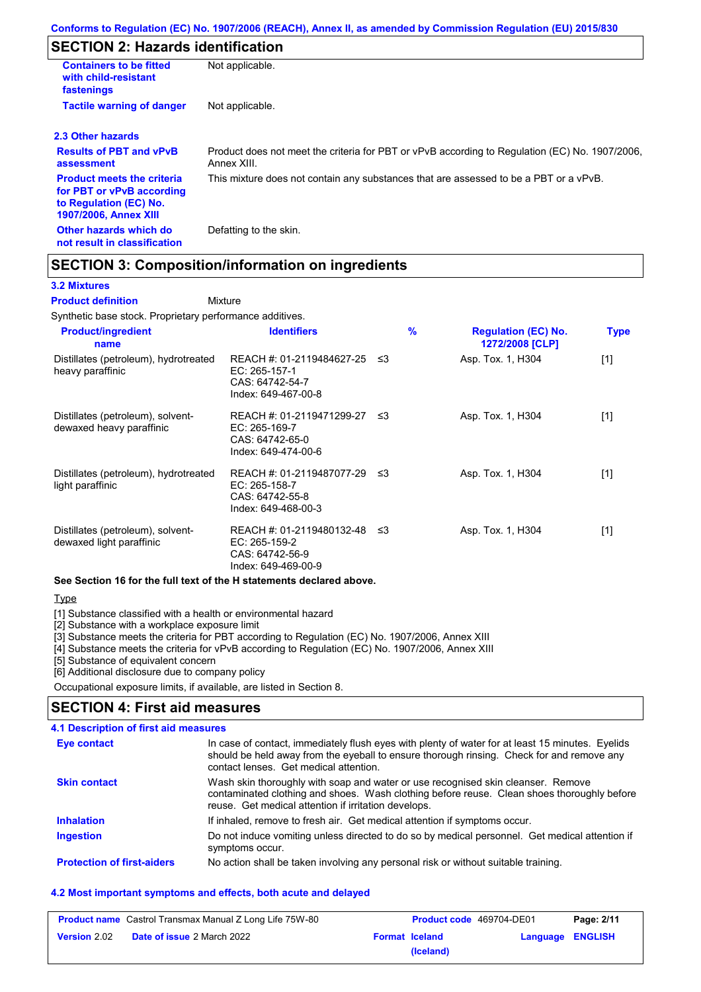# **SECTION 2: Hazards identification**

| <b>Containers to be fitted</b><br>with child-resistant<br>fastenings                                                     | Not applicable.                                                                                               |
|--------------------------------------------------------------------------------------------------------------------------|---------------------------------------------------------------------------------------------------------------|
| <b>Tactile warning of danger</b>                                                                                         | Not applicable.                                                                                               |
| 2.3 Other hazards                                                                                                        |                                                                                                               |
| <b>Results of PBT and vPvB</b><br>assessment                                                                             | Product does not meet the criteria for PBT or vPvB according to Regulation (EC) No. 1907/2006,<br>Annex XIII. |
| <b>Product meets the criteria</b><br>for PBT or vPvB according<br>to Regulation (EC) No.<br><b>1907/2006, Annex XIII</b> | This mixture does not contain any substances that are assessed to be a PBT or a vPvB.                         |
| Other hazards which do<br>not result in classification                                                                   | Defatting to the skin.                                                                                        |

# **SECTION 3: Composition/information on ingredients**

Mixture

### **3.2 Mixtures**

#### **Product definition**

Synthetic base stock. Proprietary performance additives.

| <b>Product/ingredient</b><br>name                             | <b>Identifiers</b>                                                                   |      | $\%$ | <b>Regulation (EC) No.</b><br>1272/2008 [CLP] | <b>Type</b>                                                                                                                                                                                                               |
|---------------------------------------------------------------|--------------------------------------------------------------------------------------|------|------|-----------------------------------------------|---------------------------------------------------------------------------------------------------------------------------------------------------------------------------------------------------------------------------|
| Distillates (petroleum), hydrotreated<br>heavy paraffinic     | REACH #: 01-2119484627-25<br>EC: 265-157-1<br>CAS: 64742-54-7<br>Index: 649-467-00-8 | ב≥   |      | Asp. Tox. 1, H304                             | $[1]$                                                                                                                                                                                                                     |
| Distillates (petroleum), solvent-<br>dewaxed heavy paraffinic | REACH #: 01-2119471299-27<br>EC: 265-169-7<br>CAS: 64742-65-0<br>Index: 649-474-00-6 | ו≥ ≤ |      | Asp. Tox. 1, H304                             | $[1]$                                                                                                                                                                                                                     |
| Distillates (petroleum), hydrotreated<br>light paraffinic     | REACH #: 01-2119487077-29<br>EC: 265-158-7<br>CAS: 64742-55-8<br>Index: 649-468-00-3 | ב≥   |      | Asp. Tox. 1, H304                             | $[1] % \includegraphics[width=0.9\columnwidth]{figures/fig_10.pdf} \caption{The figure shows the number of times on the right panel. The left panel shows the number of times on the right panel.} \label{fig:fig_11}} %$ |
| Distillates (petroleum), solvent-<br>dewaxed light paraffinic | REACH #: 01-2119480132-48<br>EC: 265-159-2<br>CAS: 64742-56-9<br>Index: 649-469-00-9 | -≤3  |      | Asp. Tox. 1, H304                             | $[1]$                                                                                                                                                                                                                     |

### **See Section 16 for the full text of the H statements declared above.**

Type

[1] Substance classified with a health or environmental hazard

[2] Substance with a workplace exposure limit

[3] Substance meets the criteria for PBT according to Regulation (EC) No. 1907/2006, Annex XIII

[4] Substance meets the criteria for vPvB according to Regulation (EC) No. 1907/2006, Annex XIII

[5] Substance of equivalent concern

[6] Additional disclosure due to company policy

Occupational exposure limits, if available, are listed in Section 8.

## **SECTION 4: First aid measures**

### **4.1 Description of first aid measures**

| <b>Eye contact</b>                | In case of contact, immediately flush eyes with plenty of water for at least 15 minutes. Eyelids<br>should be held away from the eyeball to ensure thorough rinsing. Check for and remove any<br>contact lenses. Get medical attention. |
|-----------------------------------|-----------------------------------------------------------------------------------------------------------------------------------------------------------------------------------------------------------------------------------------|
| <b>Skin contact</b>               | Wash skin thoroughly with soap and water or use recognised skin cleanser. Remove<br>contaminated clothing and shoes. Wash clothing before reuse. Clean shoes thoroughly before<br>reuse. Get medical attention if irritation develops.  |
| <b>Inhalation</b>                 | If inhaled, remove to fresh air. Get medical attention if symptoms occur.                                                                                                                                                               |
| <b>Ingestion</b>                  | Do not induce vomiting unless directed to do so by medical personnel. Get medical attention if<br>symptoms occur.                                                                                                                       |
| <b>Protection of first-aiders</b> | No action shall be taken involving any personal risk or without suitable training.                                                                                                                                                      |

### **4.2 Most important symptoms and effects, both acute and delayed**

| <b>Product name</b> Castrol Transmax Manual Z Long Life 75W-80 |                                   | <b>Product code</b> 469704-DE01 |                       | Page: 2/11              |  |
|----------------------------------------------------------------|-----------------------------------|---------------------------------|-----------------------|-------------------------|--|
| <b>Version 2.02</b>                                            | <b>Date of issue 2 March 2022</b> |                                 | <b>Format Iceland</b> | <b>Language ENGLISH</b> |  |
|                                                                |                                   |                                 | (Iceland)             |                         |  |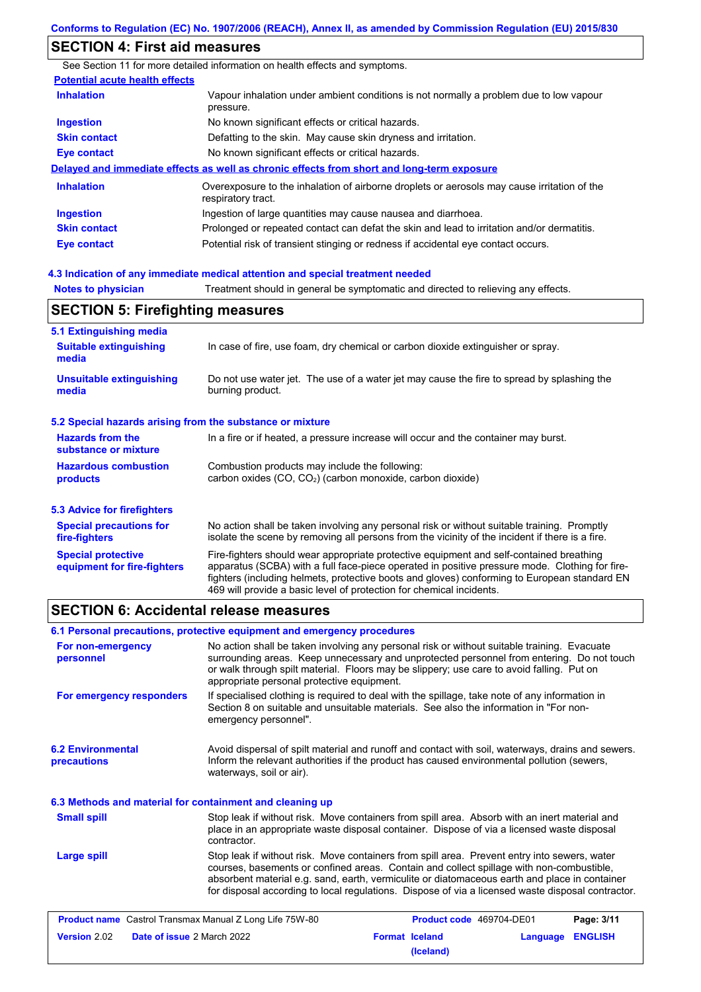# **SECTION 4: First aid measures**

See Section 11 for more detailed information on health effects and symptoms. **Potential acute health effects Inhalation** Vapour inhalation under ambient conditions is not normally a problem due to low vapour pressure. **Ingestion** No known significant effects or critical hazards. **Skin contact** Defatting to the skin. May cause skin dryness and irritation. **Eye contact** No known significant effects or critical hazards. **Delayed and immediate effects as well as chronic effects from short and long-term exposure Inhalation Ingestion Skin contact Eye contact** Overexposure to the inhalation of airborne droplets or aerosols may cause irritation of the respiratory tract. Ingestion of large quantities may cause nausea and diarrhoea. Prolonged or repeated contact can defat the skin and lead to irritation and/or dermatitis. Potential risk of transient stinging or redness if accidental eye contact occurs.

#### **4.3 Indication of any immediate medical attention and special treatment needed**

# **SECTION 5: Firefighting measures**

| 5.1 Extinguishing media                                                                                                                                             |                                                                                                                                                                                                                                                                                                                                                                   |  |  |
|---------------------------------------------------------------------------------------------------------------------------------------------------------------------|-------------------------------------------------------------------------------------------------------------------------------------------------------------------------------------------------------------------------------------------------------------------------------------------------------------------------------------------------------------------|--|--|
| <b>Suitable extinguishing</b><br>media                                                                                                                              | In case of fire, use foam, dry chemical or carbon dioxide extinguisher or spray.                                                                                                                                                                                                                                                                                  |  |  |
| <b>Unsuitable extinguishing</b><br>Do not use water jet. The use of a water jet may cause the fire to spread by splashing the<br>burning product.<br>media          |                                                                                                                                                                                                                                                                                                                                                                   |  |  |
| 5.2 Special hazards arising from the substance or mixture                                                                                                           |                                                                                                                                                                                                                                                                                                                                                                   |  |  |
| <b>Hazards from the</b><br>substance or mixture                                                                                                                     | In a fire or if heated, a pressure increase will occur and the container may burst.                                                                                                                                                                                                                                                                               |  |  |
| <b>Hazardous combustion</b><br>Combustion products may include the following:<br>carbon oxides (CO, CO <sub>2</sub> ) (carbon monoxide, carbon dioxide)<br>products |                                                                                                                                                                                                                                                                                                                                                                   |  |  |
| 5.3 Advice for firefighters                                                                                                                                         |                                                                                                                                                                                                                                                                                                                                                                   |  |  |
| <b>Special precautions for</b><br>fire-fighters                                                                                                                     | No action shall be taken involving any personal risk or without suitable training. Promptly<br>isolate the scene by removing all persons from the vicinity of the incident if there is a fire.                                                                                                                                                                    |  |  |
| <b>Special protective</b><br>equipment for fire-fighters                                                                                                            | Fire-fighters should wear appropriate protective equipment and self-contained breathing<br>apparatus (SCBA) with a full face-piece operated in positive pressure mode. Clothing for fire-<br>fighters (including helmets, protective boots and gloves) conforming to European standard EN<br>469 will provide a basic level of protection for chemical incidents. |  |  |

## **SECTION 6: Accidental release measures**

**6.2 Environmental precautions** Stop leak if without risk. Move containers from spill area. Prevent entry into sewers, water courses, basements or confined areas. Contain and collect spillage with non-combustible, absorbent material e.g. sand, earth, vermiculite or diatomaceous earth and place in container for disposal according to local regulations. Dispose of via a licensed waste disposal contractor. Avoid dispersal of spilt material and runoff and contact with soil, waterways, drains and sewers. Inform the relevant authorities if the product has caused environmental pollution (sewers, waterways, soil or air). **Large spill** Stop leak if without risk. Move containers from spill area. Absorb with an inert material and place in an appropriate waste disposal container. Dispose of via a licensed waste disposal contractor. **Small spill 6.3 Methods and material for containment and cleaning up 6.1 Personal precautions, protective equipment and emergency procedures For non-emergency personnel For emergency responders** No action shall be taken involving any personal risk or without suitable training. Evacuate surrounding areas. Keep unnecessary and unprotected personnel from entering. Do not touch or walk through spilt material. Floors may be slippery; use care to avoid falling. Put on appropriate personal protective equipment. If specialised clothing is required to deal with the spillage, take note of any information in Section 8 on suitable and unsuitable materials. See also the information in "For nonemergency personnel".

|              | <b>Product name</b> Castrol Transmax Manual Z Long Life 75W-80 | <b>Product code</b> 469704-DE01 |                  | Page: 3/11 |
|--------------|----------------------------------------------------------------|---------------------------------|------------------|------------|
| Version 2.02 | <b>Date of issue 2 March 2022</b>                              | <b>Format Iceland</b>           | Language ENGLISH |            |
|              |                                                                | (Iceland)                       |                  |            |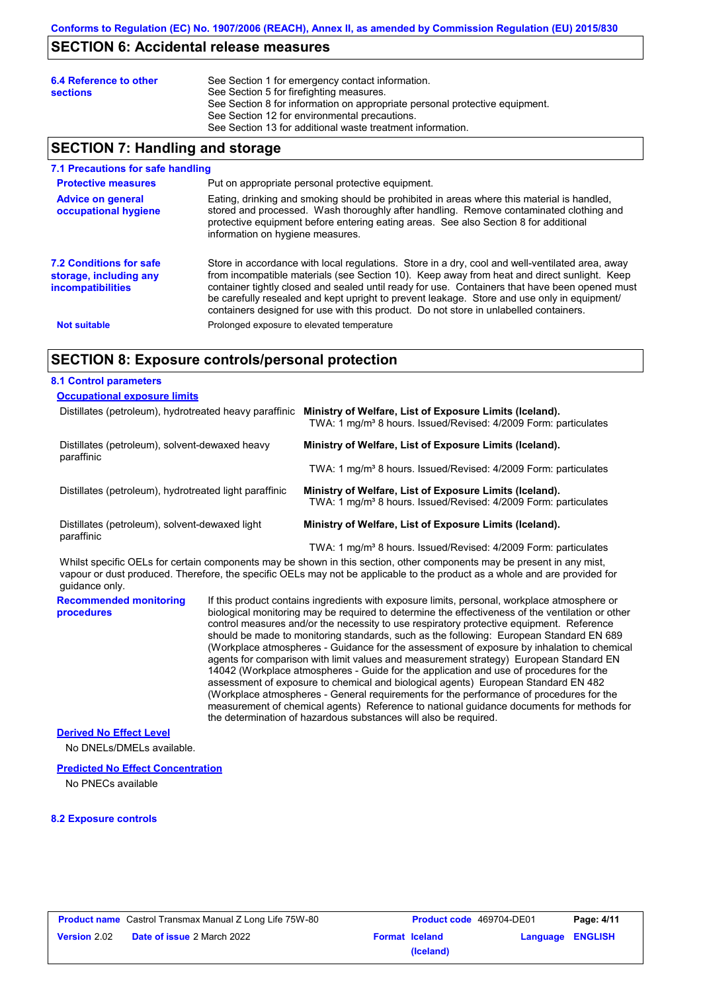## **SECTION 6: Accidental release measures**

| 6.4 Reference to other<br><b>sections</b> | See Section 1 for emergency contact information.<br>See Section 5 for firefighting measures.<br>See Section 8 for information on appropriate personal protective equipment.<br>See Section 12 for environmental precautions. |
|-------------------------------------------|------------------------------------------------------------------------------------------------------------------------------------------------------------------------------------------------------------------------------|
|                                           | See Section 13 for additional waste treatment information.                                                                                                                                                                   |

# **SECTION 7: Handling and storage**

| 7.1 Precautions for safe handling                                                    |                                                                                                                                                                                                                                                                                                                                                                                                                                                                                          |
|--------------------------------------------------------------------------------------|------------------------------------------------------------------------------------------------------------------------------------------------------------------------------------------------------------------------------------------------------------------------------------------------------------------------------------------------------------------------------------------------------------------------------------------------------------------------------------------|
| <b>Protective measures</b>                                                           | Put on appropriate personal protective equipment.                                                                                                                                                                                                                                                                                                                                                                                                                                        |
| <b>Advice on general</b><br>occupational hygiene                                     | Eating, drinking and smoking should be prohibited in areas where this material is handled,<br>stored and processed. Wash thoroughly after handling. Remove contaminated clothing and<br>protective equipment before entering eating areas. See also Section 8 for additional<br>information on hygiene measures.                                                                                                                                                                         |
| <b>7.2 Conditions for safe</b><br>storage, including any<br><i>incompatibilities</i> | Store in accordance with local requlations. Store in a dry, cool and well-ventilated area, away<br>from incompatible materials (see Section 10). Keep away from heat and direct sunlight. Keep<br>container tightly closed and sealed until ready for use. Containers that have been opened must<br>be carefully resealed and kept upright to prevent leakage. Store and use only in equipment/<br>containers designed for use with this product. Do not store in unlabelled containers. |
| <b>Not suitable</b>                                                                  | Prolonged exposure to elevated temperature                                                                                                                                                                                                                                                                                                                                                                                                                                               |

# **SECTION 8: Exposure controls/personal protection**

| <b>8.1 Control parameters</b>                                |                                                                                                                                        |
|--------------------------------------------------------------|----------------------------------------------------------------------------------------------------------------------------------------|
| <b>Occupational exposure limits</b>                          |                                                                                                                                        |
| Distillates (petroleum), hydrotreated heavy paraffinic       | Ministry of Welfare, List of Exposure Limits (Iceland).<br>TWA: 1 mg/m <sup>3</sup> 8 hours. Issued/Revised: 4/2009 Form: particulates |
| Distillates (petroleum), solvent-dewaxed heavy<br>paraffinic | Ministry of Welfare, List of Exposure Limits (Iceland).                                                                                |
|                                                              | TWA: 1 mg/m <sup>3</sup> 8 hours. Issued/Revised: 4/2009 Form: particulates                                                            |
| Distillates (petroleum), hydrotreated light paraffinic       | Ministry of Welfare, List of Exposure Limits (Iceland).<br>TWA: 1 mg/m <sup>3</sup> 8 hours. Issued/Revised: 4/2009 Form: particulates |
| Distillates (petroleum), solvent-dewaxed light<br>paraffinic | Ministry of Welfare, List of Exposure Limits (Iceland).                                                                                |
|                                                              | TWA: 1 mg/m <sup>3</sup> 8 hours. Issued/Revised: 4/2009 Form: particulates                                                            |

Whilst specific OELs for certain components may be shown in this section, other components may be present in any mist, vapour or dust produced. Therefore, the specific OELs may not be applicable to the product as a whole and are provided for guidance only.

**Recommended monitoring procedures** If this product contains ingredients with exposure limits, personal, workplace atmosphere or biological monitoring may be required to determine the effectiveness of the ventilation or other control measures and/or the necessity to use respiratory protective equipment. Reference should be made to monitoring standards, such as the following: European Standard EN 689 (Workplace atmospheres - Guidance for the assessment of exposure by inhalation to chemical agents for comparison with limit values and measurement strategy) European Standard EN 14042 (Workplace atmospheres - Guide for the application and use of procedures for the assessment of exposure to chemical and biological agents) European Standard EN 482 (Workplace atmospheres - General requirements for the performance of procedures for the measurement of chemical agents) Reference to national guidance documents for methods for the determination of hazardous substances will also be required.

### **Derived No Effect Level**

No DNELs/DMELs available.

#### **Predicted No Effect Concentration**

No PNECs available

### **8.2 Exposure controls**

|                     | <b>Product name</b> Castrol Transmax Manual Z Long Life 75W-80 | <b>Product code</b> 469704-DE01 |                         | Page: 4/11 |
|---------------------|----------------------------------------------------------------|---------------------------------|-------------------------|------------|
| <b>Version 2.02</b> | <b>Date of issue 2 March 2022</b>                              | <b>Format Iceland</b>           | <b>Language ENGLISH</b> |            |
|                     |                                                                | (Iceland)                       |                         |            |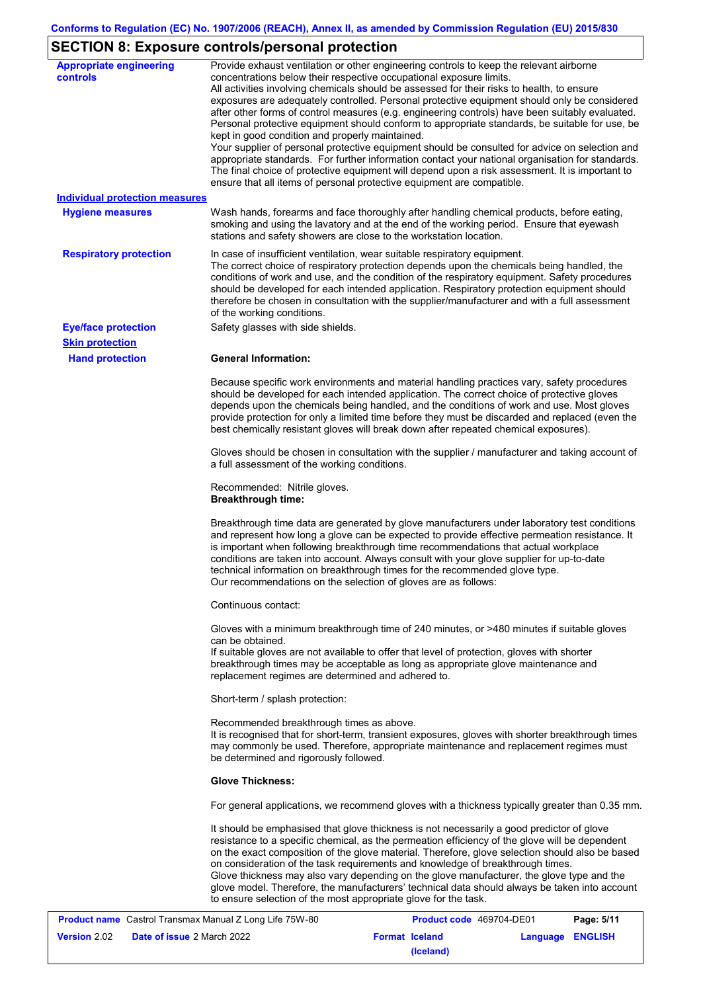# **SECTION 8: Exposure controls/personal protection**

| <b>Appropriate engineering</b><br><b>controls</b> | Provide exhaust ventilation or other engineering controls to keep the relevant airborne<br>concentrations below their respective occupational exposure limits.<br>All activities involving chemicals should be assessed for their risks to health, to ensure<br>exposures are adequately controlled. Personal protective equipment should only be considered<br>after other forms of control measures (e.g. engineering controls) have been suitably evaluated.<br>Personal protective equipment should conform to appropriate standards, be suitable for use, be<br>kept in good condition and properly maintained.<br>Your supplier of personal protective equipment should be consulted for advice on selection and<br>appropriate standards. For further information contact your national organisation for standards.<br>The final choice of protective equipment will depend upon a risk assessment. It is important to<br>ensure that all items of personal protective equipment are compatible. |
|---------------------------------------------------|---------------------------------------------------------------------------------------------------------------------------------------------------------------------------------------------------------------------------------------------------------------------------------------------------------------------------------------------------------------------------------------------------------------------------------------------------------------------------------------------------------------------------------------------------------------------------------------------------------------------------------------------------------------------------------------------------------------------------------------------------------------------------------------------------------------------------------------------------------------------------------------------------------------------------------------------------------------------------------------------------------|
| <b>Individual protection measures</b>             |                                                                                                                                                                                                                                                                                                                                                                                                                                                                                                                                                                                                                                                                                                                                                                                                                                                                                                                                                                                                         |
| <b>Hygiene measures</b>                           | Wash hands, forearms and face thoroughly after handling chemical products, before eating,<br>smoking and using the lavatory and at the end of the working period. Ensure that eyewash<br>stations and safety showers are close to the workstation location.                                                                                                                                                                                                                                                                                                                                                                                                                                                                                                                                                                                                                                                                                                                                             |
| <b>Respiratory protection</b>                     | In case of insufficient ventilation, wear suitable respiratory equipment.<br>The correct choice of respiratory protection depends upon the chemicals being handled, the<br>conditions of work and use, and the condition of the respiratory equipment. Safety procedures<br>should be developed for each intended application. Respiratory protection equipment should<br>therefore be chosen in consultation with the supplier/manufacturer and with a full assessment<br>of the working conditions.                                                                                                                                                                                                                                                                                                                                                                                                                                                                                                   |
| <b>Eye/face protection</b>                        | Safety glasses with side shields.                                                                                                                                                                                                                                                                                                                                                                                                                                                                                                                                                                                                                                                                                                                                                                                                                                                                                                                                                                       |
| <b>Skin protection</b>                            |                                                                                                                                                                                                                                                                                                                                                                                                                                                                                                                                                                                                                                                                                                                                                                                                                                                                                                                                                                                                         |
| <b>Hand protection</b>                            | <b>General Information:</b>                                                                                                                                                                                                                                                                                                                                                                                                                                                                                                                                                                                                                                                                                                                                                                                                                                                                                                                                                                             |
|                                                   | Because specific work environments and material handling practices vary, safety procedures<br>should be developed for each intended application. The correct choice of protective gloves<br>depends upon the chemicals being handled, and the conditions of work and use. Most gloves<br>provide protection for only a limited time before they must be discarded and replaced (even the<br>best chemically resistant gloves will break down after repeated chemical exposures).                                                                                                                                                                                                                                                                                                                                                                                                                                                                                                                        |
|                                                   | Gloves should be chosen in consultation with the supplier / manufacturer and taking account of<br>a full assessment of the working conditions.                                                                                                                                                                                                                                                                                                                                                                                                                                                                                                                                                                                                                                                                                                                                                                                                                                                          |
|                                                   | Recommended: Nitrile gloves.<br><b>Breakthrough time:</b>                                                                                                                                                                                                                                                                                                                                                                                                                                                                                                                                                                                                                                                                                                                                                                                                                                                                                                                                               |
|                                                   | Breakthrough time data are generated by glove manufacturers under laboratory test conditions<br>and represent how long a glove can be expected to provide effective permeation resistance. It<br>is important when following breakthrough time recommendations that actual workplace<br>conditions are taken into account. Always consult with your glove supplier for up-to-date<br>technical information on breakthrough times for the recommended glove type.<br>Our recommendations on the selection of gloves are as follows:                                                                                                                                                                                                                                                                                                                                                                                                                                                                      |
|                                                   | Continuous contact:                                                                                                                                                                                                                                                                                                                                                                                                                                                                                                                                                                                                                                                                                                                                                                                                                                                                                                                                                                                     |
|                                                   | Gloves with a minimum breakthrough time of 240 minutes, or >480 minutes if suitable gloves<br>can be obtained.<br>If suitable gloves are not available to offer that level of protection, gloves with shorter<br>breakthrough times may be acceptable as long as appropriate glove maintenance and<br>replacement regimes are determined and adhered to.                                                                                                                                                                                                                                                                                                                                                                                                                                                                                                                                                                                                                                                |
|                                                   | Short-term / splash protection:                                                                                                                                                                                                                                                                                                                                                                                                                                                                                                                                                                                                                                                                                                                                                                                                                                                                                                                                                                         |
|                                                   | Recommended breakthrough times as above.<br>It is recognised that for short-term, transient exposures, gloves with shorter breakthrough times<br>may commonly be used. Therefore, appropriate maintenance and replacement regimes must<br>be determined and rigorously followed.                                                                                                                                                                                                                                                                                                                                                                                                                                                                                                                                                                                                                                                                                                                        |
|                                                   | <b>Glove Thickness:</b>                                                                                                                                                                                                                                                                                                                                                                                                                                                                                                                                                                                                                                                                                                                                                                                                                                                                                                                                                                                 |
|                                                   | For general applications, we recommend gloves with a thickness typically greater than 0.35 mm.                                                                                                                                                                                                                                                                                                                                                                                                                                                                                                                                                                                                                                                                                                                                                                                                                                                                                                          |
|                                                   | It should be emphasised that glove thickness is not necessarily a good predictor of glove<br>resistance to a specific chemical, as the permeation efficiency of the glove will be dependent<br>on the exact composition of the glove material. Therefore, glove selection should also be based<br>on consideration of the task requirements and knowledge of breakthrough times.<br>Glove thickness may also vary depending on the glove manufacturer, the glove type and the<br>glove model. Therefore, the manufacturers' technical data should always be taken into account<br>to ensure selection of the most appropriate glove for the task.                                                                                                                                                                                                                                                                                                                                                       |

|                     | <b>Product name</b> Castrol Transmax Manual Z Long Life 75W-80 | <b>Product code</b> 469704-DE01 |                  | Page: 5/11 |
|---------------------|----------------------------------------------------------------|---------------------------------|------------------|------------|
| <b>Version</b> 2.02 | <b>Date of issue 2 March 2022</b>                              | <b>Format Iceland</b>           | Language ENGLISH |            |
|                     |                                                                | (Iceland)                       |                  |            |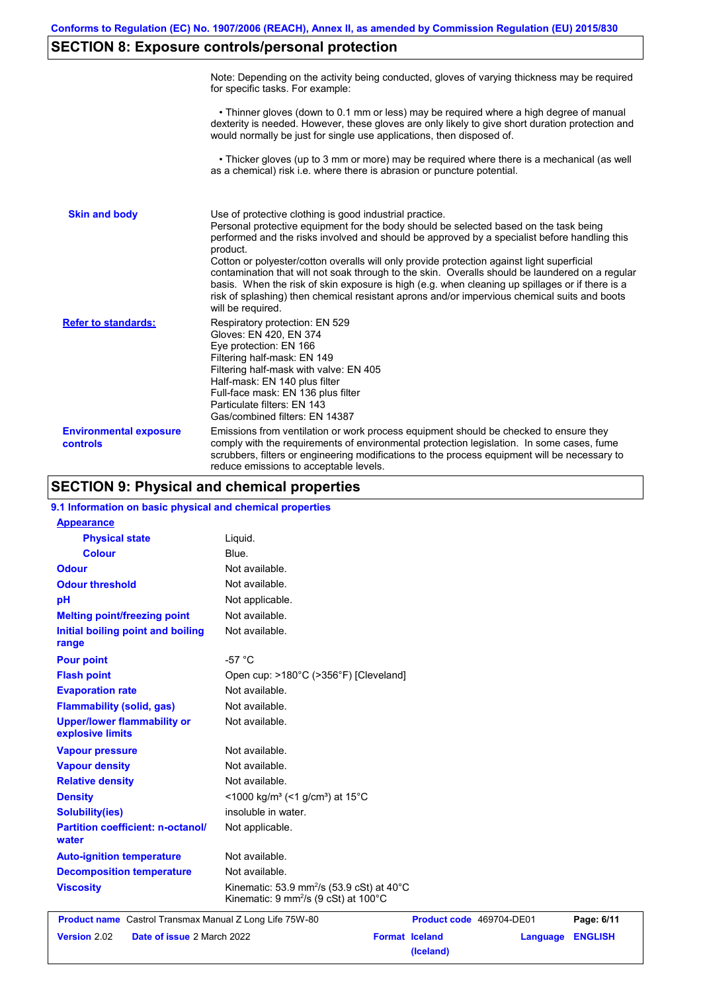# **SECTION 8: Exposure controls/personal protection**

|                                           | Note: Depending on the activity being conducted, gloves of varying thickness may be required<br>for specific tasks. For example:                                                                                                                                                                                                                                                                                                                                                                                                                                                                                                                                                      |
|-------------------------------------------|---------------------------------------------------------------------------------------------------------------------------------------------------------------------------------------------------------------------------------------------------------------------------------------------------------------------------------------------------------------------------------------------------------------------------------------------------------------------------------------------------------------------------------------------------------------------------------------------------------------------------------------------------------------------------------------|
|                                           | • Thinner gloves (down to 0.1 mm or less) may be required where a high degree of manual<br>dexterity is needed. However, these gloves are only likely to give short duration protection and<br>would normally be just for single use applications, then disposed of.                                                                                                                                                                                                                                                                                                                                                                                                                  |
|                                           | • Thicker gloves (up to 3 mm or more) may be required where there is a mechanical (as well<br>as a chemical) risk i.e. where there is abrasion or puncture potential.                                                                                                                                                                                                                                                                                                                                                                                                                                                                                                                 |
| <b>Skin and body</b>                      | Use of protective clothing is good industrial practice.<br>Personal protective equipment for the body should be selected based on the task being<br>performed and the risks involved and should be approved by a specialist before handling this<br>product.<br>Cotton or polyester/cotton overalls will only provide protection against light superficial<br>contamination that will not soak through to the skin. Overalls should be laundered on a regular<br>basis. When the risk of skin exposure is high (e.g. when cleaning up spillages or if there is a<br>risk of splashing) then chemical resistant aprons and/or impervious chemical suits and boots<br>will be required. |
| <b>Refer to standards:</b>                | Respiratory protection: EN 529<br>Gloves: EN 420, EN 374<br>Eye protection: EN 166<br>Filtering half-mask: EN 149<br>Filtering half-mask with valve: EN 405<br>Half-mask: EN 140 plus filter<br>Full-face mask: EN 136 plus filter<br>Particulate filters: EN 143<br>Gas/combined filters: EN 14387                                                                                                                                                                                                                                                                                                                                                                                   |
| <b>Environmental exposure</b><br>controls | Emissions from ventilation or work process equipment should be checked to ensure they<br>comply with the requirements of environmental protection legislation. In some cases, fume<br>scrubbers, filters or engineering modifications to the process equipment will be necessary to<br>reduce emissions to acceptable levels.                                                                                                                                                                                                                                                                                                                                                         |

# **SECTION 9: Physical and chemical properties**

| 9.1 Information on basic physical and chemical properties |                                                                                                                     |                          |          |                |
|-----------------------------------------------------------|---------------------------------------------------------------------------------------------------------------------|--------------------------|----------|----------------|
| <b>Appearance</b>                                         |                                                                                                                     |                          |          |                |
| <b>Physical state</b>                                     | Liquid.                                                                                                             |                          |          |                |
| <b>Colour</b>                                             | Blue.                                                                                                               |                          |          |                |
| <b>Odour</b>                                              | Not available.                                                                                                      |                          |          |                |
| <b>Odour threshold</b>                                    | Not available.                                                                                                      |                          |          |                |
| pH                                                        | Not applicable.                                                                                                     |                          |          |                |
| <b>Melting point/freezing point</b>                       | Not available.                                                                                                      |                          |          |                |
| Initial boiling point and boiling<br>range                | Not available.                                                                                                      |                          |          |                |
| <b>Pour point</b>                                         | $-57 °C$                                                                                                            |                          |          |                |
| <b>Flash point</b>                                        | Open cup: >180°C (>356°F) [Cleveland]                                                                               |                          |          |                |
| <b>Evaporation rate</b>                                   | Not available.                                                                                                      |                          |          |                |
| <b>Flammability (solid, gas)</b>                          | Not available.                                                                                                      |                          |          |                |
| <b>Upper/lower flammability or</b><br>explosive limits    | Not available.                                                                                                      |                          |          |                |
| <b>Vapour pressure</b>                                    | Not available.                                                                                                      |                          |          |                |
| <b>Vapour density</b>                                     | Not available.                                                                                                      |                          |          |                |
| <b>Relative density</b>                                   | Not available.                                                                                                      |                          |          |                |
| <b>Density</b>                                            | <1000 kg/m <sup>3</sup> (<1 g/cm <sup>3</sup> ) at 15 <sup>°</sup> C                                                |                          |          |                |
| <b>Solubility(ies)</b>                                    | insoluble in water.                                                                                                 |                          |          |                |
| <b>Partition coefficient: n-octanol/</b><br>water         | Not applicable.                                                                                                     |                          |          |                |
| <b>Auto-ignition temperature</b>                          | Not available.                                                                                                      |                          |          |                |
| <b>Decomposition temperature</b>                          | Not available.                                                                                                      |                          |          |                |
| <b>Viscosity</b>                                          | Kinematic: 53.9 mm <sup>2</sup> /s (53.9 cSt) at $40^{\circ}$ C<br>Kinematic: 9 mm <sup>2</sup> /s (9 cSt) at 100°C |                          |          |                |
| Product name Castrol Transmax Manual Z Long Life 75W-80   |                                                                                                                     | Product code 469704-DE01 |          | Page: 6/11     |
| Date of issue 2 March 2022<br><b>Version 2.02</b>         |                                                                                                                     | <b>Format Iceland</b>    | Language | <b>ENGLISH</b> |

**(Iceland)**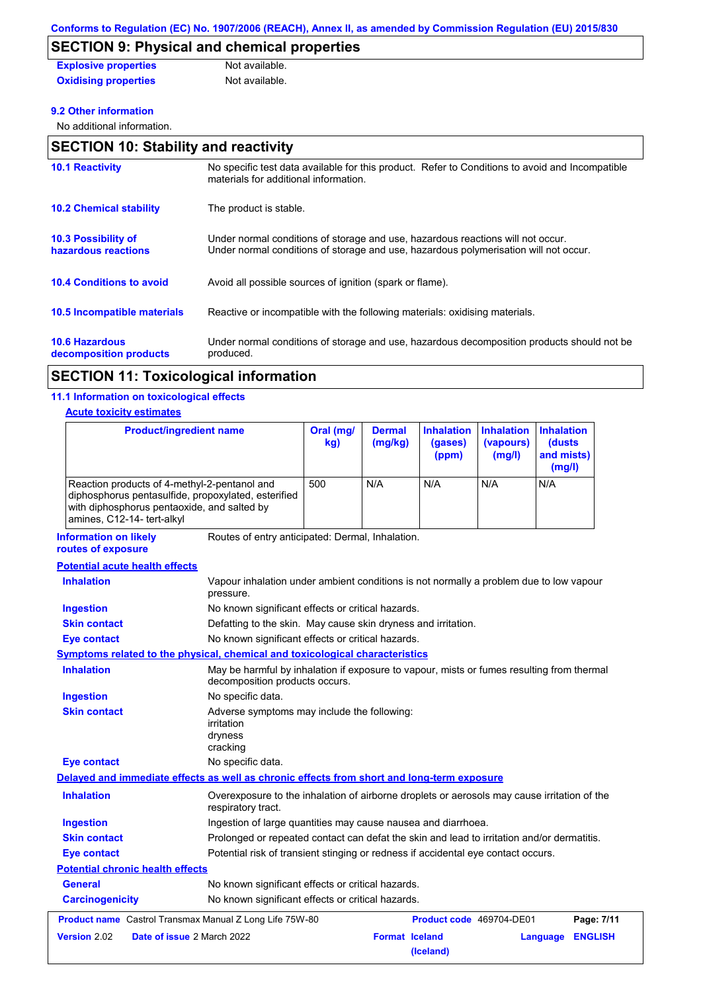# **SECTION 9: Physical and chemical properties**

| <b>Explosive properties</b> | Not available. |
|-----------------------------|----------------|
| <b>Oxidising properties</b> | Not available. |

### **9.2 Other information**

No additional information.

| <b>SECTION 10: Stability and reactivity</b>     |                                                                                                                                                                         |  |  |
|-------------------------------------------------|-------------------------------------------------------------------------------------------------------------------------------------------------------------------------|--|--|
| <b>10.1 Reactivity</b>                          | No specific test data available for this product. Refer to Conditions to avoid and Incompatible<br>materials for additional information.                                |  |  |
| <b>10.2 Chemical stability</b>                  | The product is stable.                                                                                                                                                  |  |  |
| 10.3 Possibility of<br>hazardous reactions      | Under normal conditions of storage and use, hazardous reactions will not occur.<br>Under normal conditions of storage and use, hazardous polymerisation will not occur. |  |  |
| <b>10.4 Conditions to avoid</b>                 | Avoid all possible sources of ignition (spark or flame).                                                                                                                |  |  |
| <b>10.5 Incompatible materials</b>              | Reactive or incompatible with the following materials: oxidising materials.                                                                                             |  |  |
| <b>10.6 Hazardous</b><br>decomposition products | Under normal conditions of storage and use, hazardous decomposition products should not be<br>produced.                                                                 |  |  |

# **SECTION 11: Toxicological information**

## **11.1 Information on toxicological effects**

### **Acute toxicity estimates**

| <b>Product/ingredient name</b><br>Reaction products of 4-methyl-2-pentanol and<br>diphosphorus pentasulfide, propoxylated, esterified<br>with diphosphorus pentaoxide, and salted by<br>amines, C12-14- tert-alkyl |                                                                                                     | Oral (mg/<br>kg)<br>500 | <b>Dermal</b><br>(mg/kg)<br>N/A | <b>Inhalation</b><br>(gases)<br>(ppm)<br>N/A | <b>Inhalation</b><br>(vapours)<br>(mg/l)<br>N/A | <b>Inhalation</b><br>(dusts)<br>and mists)<br>(mg/l)<br>N/A |
|--------------------------------------------------------------------------------------------------------------------------------------------------------------------------------------------------------------------|-----------------------------------------------------------------------------------------------------|-------------------------|---------------------------------|----------------------------------------------|-------------------------------------------------|-------------------------------------------------------------|
|                                                                                                                                                                                                                    |                                                                                                     |                         |                                 |                                              |                                                 |                                                             |
| <b>Potential acute health effects</b>                                                                                                                                                                              |                                                                                                     |                         |                                 |                                              |                                                 |                                                             |
| <b>Inhalation</b>                                                                                                                                                                                                  | Vapour inhalation under ambient conditions is not normally a problem due to low vapour<br>pressure. |                         |                                 |                                              |                                                 |                                                             |

| <b>Ingestion</b>                                        | No known significant effects or critical hazards.                                                                           |                       |                          |          |                |
|---------------------------------------------------------|-----------------------------------------------------------------------------------------------------------------------------|-----------------------|--------------------------|----------|----------------|
| <b>Skin contact</b>                                     | Defatting to the skin. May cause skin dryness and irritation.                                                               |                       |                          |          |                |
| Eye contact                                             | No known significant effects or critical hazards.                                                                           |                       |                          |          |                |
|                                                         | <b>Symptoms related to the physical, chemical and toxicological characteristics</b>                                         |                       |                          |          |                |
| <b>Inhalation</b>                                       | May be harmful by inhalation if exposure to vapour, mists or fumes resulting from thermal<br>decomposition products occurs. |                       |                          |          |                |
| <b>Ingestion</b>                                        | No specific data.                                                                                                           |                       |                          |          |                |
| <b>Skin contact</b>                                     | Adverse symptoms may include the following:<br>irritation<br>dryness<br>cracking                                            |                       |                          |          |                |
| <b>Eye contact</b>                                      | No specific data.                                                                                                           |                       |                          |          |                |
|                                                         | Delayed and immediate effects as well as chronic effects from short and long-term exposure                                  |                       |                          |          |                |
| <b>Inhalation</b>                                       | Overexposure to the inhalation of airborne droplets or aerosols may cause irritation of the<br>respiratory tract.           |                       |                          |          |                |
| <b>Ingestion</b>                                        | Ingestion of large quantities may cause nausea and diarrhoea.                                                               |                       |                          |          |                |
| <b>Skin contact</b>                                     | Prolonged or repeated contact can defat the skin and lead to irritation and/or dermatitis.                                  |                       |                          |          |                |
| Eye contact                                             | Potential risk of transient stinging or redness if accidental eye contact occurs.                                           |                       |                          |          |                |
| <b>Potential chronic health effects</b>                 |                                                                                                                             |                       |                          |          |                |
| <b>General</b>                                          | No known significant effects or critical hazards.                                                                           |                       |                          |          |                |
| <b>Carcinogenicity</b>                                  | No known significant effects or critical hazards.                                                                           |                       |                          |          |                |
| Product name Castrol Transmax Manual Z Long Life 75W-80 |                                                                                                                             |                       | Product code 469704-DE01 |          | Page: 7/11     |
| Version 2.02<br>Date of issue 2 March 2022              |                                                                                                                             | <b>Format Iceland</b> | (Iceland)                | Language | <b>ENGLISH</b> |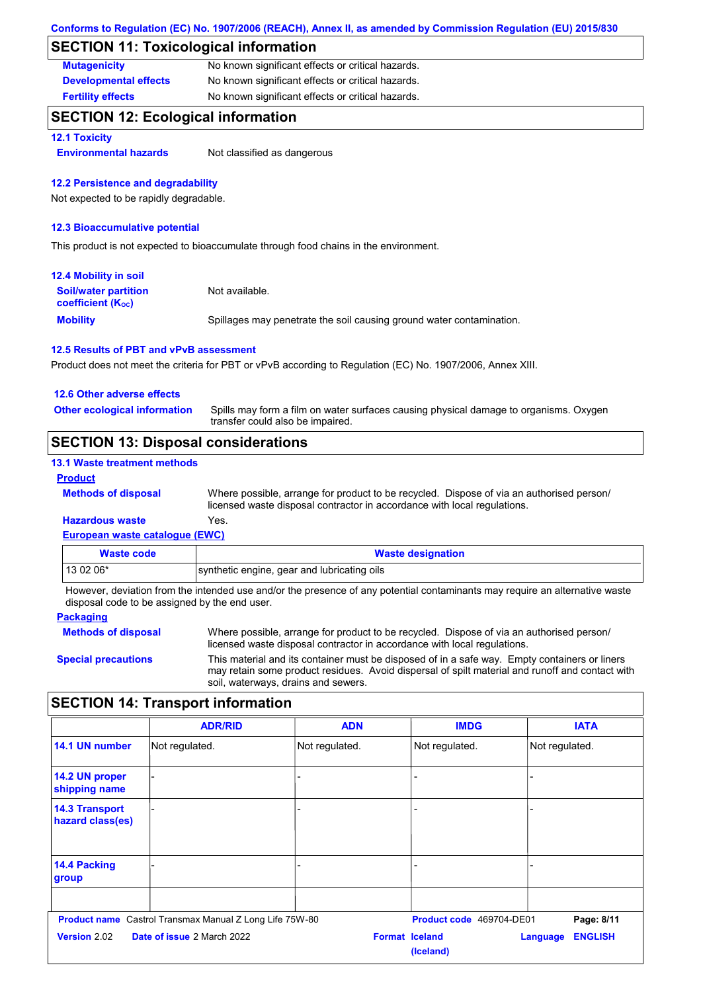# **SECTION 11: Toxicological information**

| <b>Mutagenicity</b>          | No known significant effects or critical hazards. |
|------------------------------|---------------------------------------------------|
| <b>Developmental effects</b> | No known significant effects or critical hazards. |
| <b>Fertility effects</b>     | No known significant effects or critical hazards. |

## **SECTION 12: Ecological information**

**12.1 Toxicity**

**Environmental hazards** Not classified as dangerous

### **12.2 Persistence and degradability**

Not expected to be rapidly degradable.

#### **12.3 Bioaccumulative potential**

This product is not expected to bioaccumulate through food chains in the environment.

| 12.4 Mobility in soil                                         |                                                                      |
|---------------------------------------------------------------|----------------------------------------------------------------------|
| <b>Soil/water partition</b><br>coefficient (K <sub>oc</sub> ) | Not available.                                                       |
| <b>Mobility</b>                                               | Spillages may penetrate the soil causing ground water contamination. |

#### **12.5 Results of PBT and vPvB assessment**

Product does not meet the criteria for PBT or vPvB according to Regulation (EC) No. 1907/2006, Annex XIII.

#### **12.6 Other adverse effects**

Spills may form a film on water surfaces causing physical damage to organisms. Oxygen transfer could also be impaired. **Other ecological information**

## **SECTION 13: Disposal considerations**

### **13.1 Waste treatment methods**

#### **Product**

**Methods of disposal**

Where possible, arrange for product to be recycled. Dispose of via an authorised person/ licensed waste disposal contractor in accordance with local regulations.

## **Hazardous waste** Yes.

**European waste catalogue (EWC)**

| Waste code | <b>Waste designation</b>                    |
|------------|---------------------------------------------|
| $130206*$  | synthetic engine, gear and lubricating oils |

However, deviation from the intended use and/or the presence of any potential contaminants may require an alternative waste disposal code to be assigned by the end user.

#### **Packaging**

**Methods of disposal**

Where possible, arrange for product to be recycled. Dispose of via an authorised person/ licensed waste disposal contractor in accordance with local regulations.

**Special precautions**

This material and its container must be disposed of in a safe way. Empty containers or liners may retain some product residues. Avoid dispersal of spilt material and runoff and contact with soil, waterways, drains and sewers.

# **SECTION 14: Transport information**

|                                           | <b>ADR/RID</b>                                                 | <b>ADN</b>            | <b>IMDG</b>              | <b>IATA</b>                |
|-------------------------------------------|----------------------------------------------------------------|-----------------------|--------------------------|----------------------------|
| 14.1 UN number                            | Not regulated.                                                 | Not regulated.        | Not regulated.           | Not regulated.             |
| 14.2 UN proper<br>shipping name           |                                                                |                       |                          |                            |
| <b>14.3 Transport</b><br>hazard class(es) |                                                                |                       |                          |                            |
| 14.4 Packing<br>group                     |                                                                |                       |                          |                            |
|                                           | <b>Product name</b> Castrol Transmax Manual Z Long Life 75W-80 |                       | Product code 469704-DE01 | Page: 8/11                 |
| <b>Version 2.02</b>                       | Date of issue 2 March 2022                                     | <b>Format Iceland</b> | (Iceland)                | <b>ENGLISH</b><br>Language |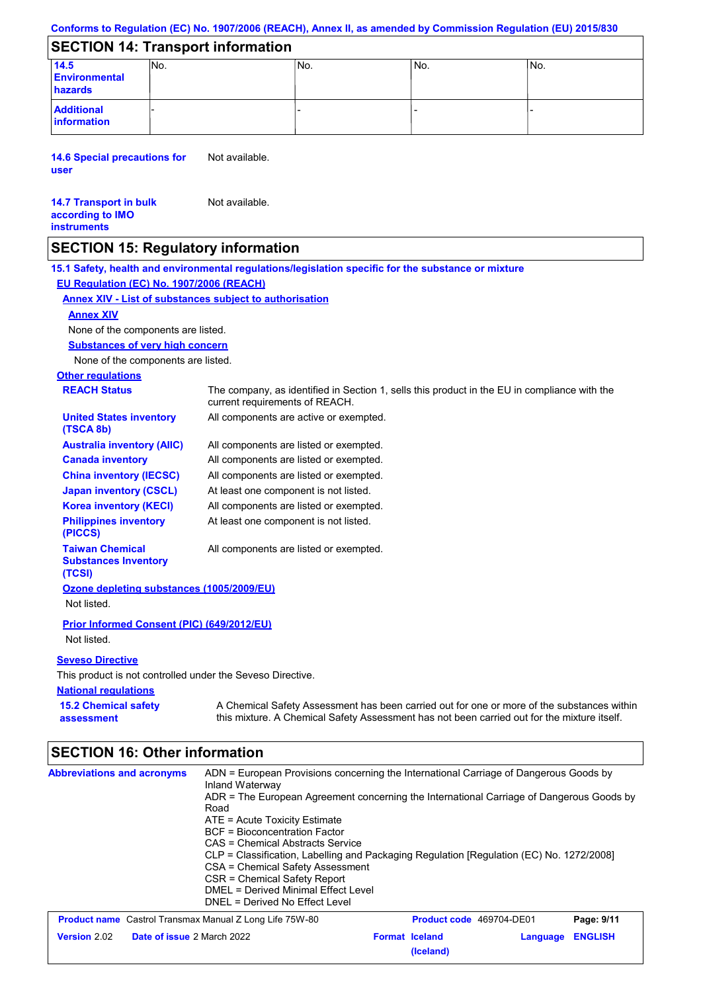### **Conforms to Regulation (EC) No. 1907/2006 (REACH), Annex II, as amended by Commission Regulation (EU) 2015/830**

# **SECTION 14: Transport information**

| 14.5<br><b>Environmental</b><br>hazards | INo. | 'No. | No. | INo. |
|-----------------------------------------|------|------|-----|------|
| <b>Additional</b><br>information        |      |      |     |      |

**14.6 Special precautions for user** Not available.

#### **14.7 Transport in bulk according to IMO instruments** Not available.

## **SECTION 15: Regulatory information**

**National regulations Other regulations REACH Status** The company, as identified in Section 1, sells this product in the EU in compliance with the current requirements of REACH. **15.1 Safety, health and environmental regulations/legislation specific for the substance or mixture EU Regulation (EC) No. 1907/2006 (REACH) Annex XIV - List of substances subject to authorisation 15.2 Chemical safety assessment Substances of very high concern** None of the components are listed. All components are listed or exempted. All components are listed or exempted. All components are listed or exempted. At least one component is not listed. All components are active or exempted. All components are listed or exempted. At least one component is not listed. **United States inventory (TSCA 8b) Australia inventory (AIIC) Canada inventory China inventory (IECSC) Japan inventory (CSCL) Korea inventory (KECI) Philippines inventory (PICCS) Taiwan Chemical Substances Inventory (TCSI)** All components are listed or exempted. **Ozone depleting substances (1005/2009/EU)** Not listed. **Prior Informed Consent (PIC) (649/2012/EU)** Not listed. **Seveso Directive** This product is not controlled under the Seveso Directive. A Chemical Safety Assessment has been carried out for one or more of the substances within this mixture. A Chemical Safety Assessment has not been carried out for the mixture itself. None of the components are listed. **Annex XIV**

# **SECTION 16: Other information**

| <b>Abbreviations and acronyms</b>                              | ADN = European Provisions concerning the International Carriage of Dangerous Goods by<br>Inland Waterway<br>ADR = The European Agreement concerning the International Carriage of Dangerous Goods by<br>Road<br>$ATE =$ Acute Toxicity Estimate<br><b>BCF</b> = Bioconcentration Factor<br>CAS = Chemical Abstracts Service<br>CLP = Classification, Labelling and Packaging Regulation [Regulation (EC) No. 1272/2008]<br>CSA = Chemical Safety Assessment<br>CSR = Chemical Safety Report<br>DMEL = Derived Minimal Effect Level<br>DNEL = Derived No Effect Level |                                    |                                 |          |                |
|----------------------------------------------------------------|----------------------------------------------------------------------------------------------------------------------------------------------------------------------------------------------------------------------------------------------------------------------------------------------------------------------------------------------------------------------------------------------------------------------------------------------------------------------------------------------------------------------------------------------------------------------|------------------------------------|---------------------------------|----------|----------------|
| <b>Product name</b> Castrol Transmax Manual Z Long Life 75W-80 |                                                                                                                                                                                                                                                                                                                                                                                                                                                                                                                                                                      |                                    | <b>Product code</b> 469704-DE01 |          | Page: 9/11     |
| <b>Version 2.02</b><br>Date of issue 2 March 2022              |                                                                                                                                                                                                                                                                                                                                                                                                                                                                                                                                                                      | <b>Format Iceland</b><br>(Iceland) |                                 | Language | <b>ENGLISH</b> |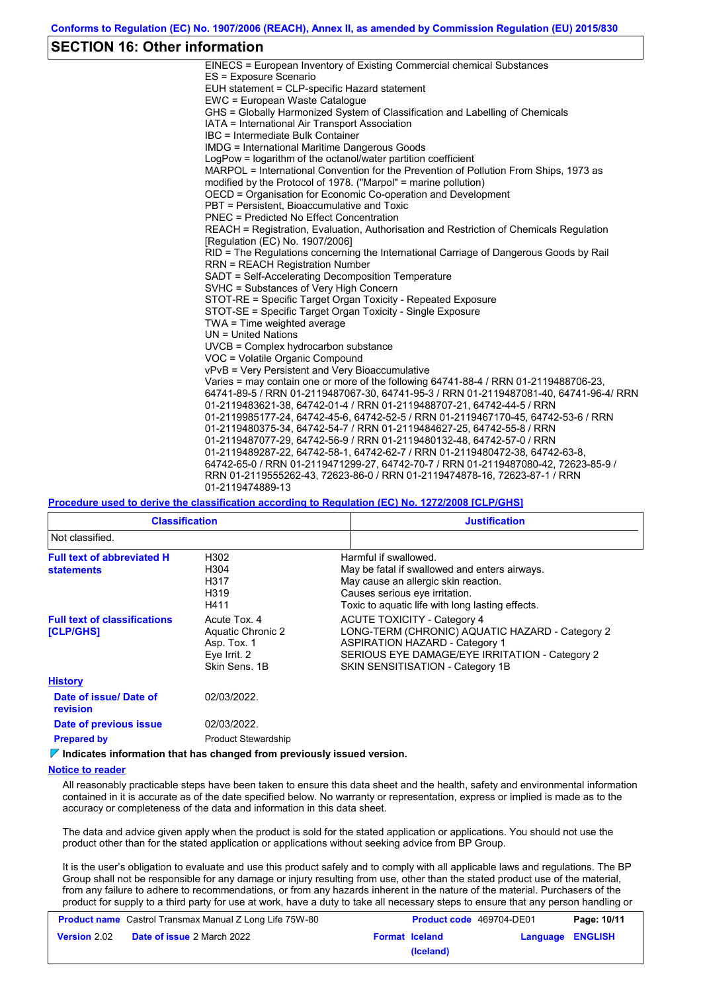# **SECTION 16: Other information**

| EINECS = European Inventory of Existing Commercial chemical Substances                  |
|-----------------------------------------------------------------------------------------|
| ES = Exposure Scenario                                                                  |
| EUH statement = CLP-specific Hazard statement                                           |
| EWC = European Waste Catalogue                                                          |
| GHS = Globally Harmonized System of Classification and Labelling of Chemicals           |
| IATA = International Air Transport Association                                          |
| IBC = Intermediate Bulk Container                                                       |
| <b>IMDG = International Maritime Dangerous Goods</b>                                    |
| LogPow = logarithm of the octanol/water partition coefficient                           |
| MARPOL = International Convention for the Prevention of Pollution From Ships, 1973 as   |
| modified by the Protocol of 1978. ("Marpol" = marine pollution)                         |
| OECD = Organisation for Economic Co-operation and Development                           |
| PBT = Persistent. Bioaccumulative and Toxic                                             |
| <b>PNEC</b> = Predicted No Effect Concentration                                         |
| REACH = Registration, Evaluation, Authorisation and Restriction of Chemicals Regulation |
| [Regulation (EC) No. 1907/2006]                                                         |
| RID = The Regulations concerning the International Carriage of Dangerous Goods by Rail  |
| <b>RRN = REACH Registration Number</b>                                                  |
| SADT = Self-Accelerating Decomposition Temperature                                      |
| SVHC = Substances of Very High Concern                                                  |
| STOT-RE = Specific Target Organ Toxicity - Repeated Exposure                            |
| STOT-SE = Specific Target Organ Toxicity - Single Exposure                              |
| $TWA = Time$ weighted average                                                           |
| $UN = United Nations$                                                                   |
| UVCB = Complex hydrocarbon substance                                                    |
| VOC = Volatile Organic Compound                                                         |
| vPvB = Very Persistent and Very Bioaccumulative                                         |
| Varies = may contain one or more of the following 64741-88-4 / RRN 01-2119488706-23,    |
| 64741-89-5 / RRN 01-2119487067-30, 64741-95-3 / RRN 01-2119487081-40, 64741-96-4/ RRN   |
| 01-2119483621-38, 64742-01-4 / RRN 01-2119488707-21, 64742-44-5 / RRN                   |
| 01-2119985177-24, 64742-45-6, 64742-52-5 / RRN 01-2119467170-45, 64742-53-6 / RRN       |
| 01-2119480375-34, 64742-54-7 / RRN 01-2119484627-25, 64742-55-8 / RRN                   |
| 01-2119487077-29, 64742-56-9 / RRN 01-2119480132-48, 64742-57-0 / RRN                   |
| 01-2119489287-22, 64742-58-1, 64742-62-7 / RRN 01-2119480472-38, 64742-63-8,            |
| 64742-65-0 / RRN 01-2119471299-27, 64742-70-7 / RRN 01-2119487080-42, 72623-85-9 /      |
| RRN 01-2119555262-43, 72623-86-0 / RRN 01-2119474878-16, 72623-87-1 / RRN               |
| 01-2119474889-13                                                                        |

**Procedure used to derive the classification according to Regulation (EC) No. 1272/2008 [CLP/GHS]**

| <b>Classification</b>                                   |                                                                                   | <b>Justification</b>                                                                                                                                                                                                 |
|---------------------------------------------------------|-----------------------------------------------------------------------------------|----------------------------------------------------------------------------------------------------------------------------------------------------------------------------------------------------------------------|
| Not classified.                                         |                                                                                   |                                                                                                                                                                                                                      |
| <b>Full text of abbreviated H</b><br><b>statements</b>  | H302<br>H304<br>H317<br>H319<br>H411                                              | Harmful if swallowed.<br>May be fatal if swallowed and enters airways.<br>May cause an allergic skin reaction.<br>Causes serious eye irritation.<br>Toxic to aguatic life with long lasting effects.                 |
| <b>Full text of classifications</b><br><b>[CLP/GHS]</b> | Acute Tox, 4<br>Aquatic Chronic 2<br>Asp. Tox. 1<br>Eye Irrit. 2<br>Skin Sens, 1B | <b>ACUTE TOXICITY - Category 4</b><br>LONG-TERM (CHRONIC) AQUATIC HAZARD - Category 2<br><b>ASPIRATION HAZARD - Category 1</b><br>SERIOUS EYE DAMAGE/EYE IRRITATION - Category 2<br>SKIN SENSITISATION - Category 1B |
| <b>History</b>                                          |                                                                                   |                                                                                                                                                                                                                      |
| Date of issue/Date of<br>revision                       | 02/03/2022.                                                                       |                                                                                                                                                                                                                      |
| Date of previous issue                                  | 02/03/2022.                                                                       |                                                                                                                                                                                                                      |
| <b>Prepared by</b>                                      | <b>Product Stewardship</b>                                                        |                                                                                                                                                                                                                      |

**Indicates information that has changed from previously issued version.**

#### **Notice to reader**

All reasonably practicable steps have been taken to ensure this data sheet and the health, safety and environmental information contained in it is accurate as of the date specified below. No warranty or representation, express or implied is made as to the accuracy or completeness of the data and information in this data sheet.

The data and advice given apply when the product is sold for the stated application or applications. You should not use the product other than for the stated application or applications without seeking advice from BP Group.

It is the user's obligation to evaluate and use this product safely and to comply with all applicable laws and regulations. The BP Group shall not be responsible for any damage or injury resulting from use, other than the stated product use of the material, from any failure to adhere to recommendations, or from any hazards inherent in the nature of the material. Purchasers of the product for supply to a third party for use at work, have a duty to take all necessary steps to ensure that any person handling or

|                     | <b>Product name</b> Castrol Transmax Manual Z Long Life 75W-80 | Product code 469704-DE01 |                  | Page: 10/11 |
|---------------------|----------------------------------------------------------------|--------------------------|------------------|-------------|
| <b>Version 2.02</b> | <b>Date of issue 2 March 2022</b>                              | <b>Format Iceland</b>    | Language ENGLISH |             |
|                     |                                                                | (Iceland)                |                  |             |